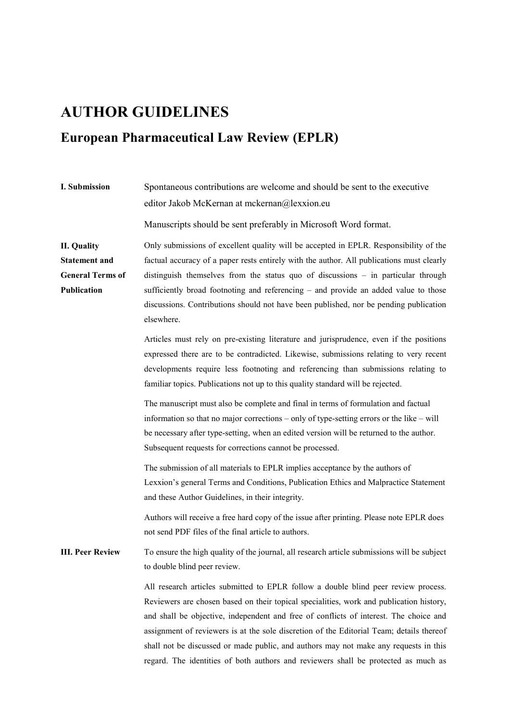# **AUTHOR GUIDELINES**

## **European Pharmaceutical Law Review (EPLR)**

| I. Submission                                                                        | Spontaneous contributions are welcome and should be sent to the executive<br>editor Jakob McKernan at mckernan@lexxion.eu                                                                                                                                                                                                                                                                                                                                                                                                                        |
|--------------------------------------------------------------------------------------|--------------------------------------------------------------------------------------------------------------------------------------------------------------------------------------------------------------------------------------------------------------------------------------------------------------------------------------------------------------------------------------------------------------------------------------------------------------------------------------------------------------------------------------------------|
|                                                                                      | Manuscripts should be sent preferably in Microsoft Word format.                                                                                                                                                                                                                                                                                                                                                                                                                                                                                  |
| <b>II.</b> Quality<br><b>Statement and</b><br><b>General Terms of</b><br>Publication | Only submissions of excellent quality will be accepted in EPLR. Responsibility of the<br>factual accuracy of a paper rests entirely with the author. All publications must clearly<br>distinguish themselves from the status quo of discussions - in particular through<br>sufficiently broad footnoting and referencing - and provide an added value to those<br>discussions. Contributions should not have been published, nor be pending publication<br>elsewhere.                                                                            |
|                                                                                      | Articles must rely on pre-existing literature and jurisprudence, even if the positions<br>expressed there are to be contradicted. Likewise, submissions relating to very recent<br>developments require less footnoting and referencing than submissions relating to<br>familiar topics. Publications not up to this quality standard will be rejected.                                                                                                                                                                                          |
|                                                                                      | The manuscript must also be complete and final in terms of formulation and factual<br>information so that no major corrections – only of type-setting errors or the like – will<br>be necessary after type-setting, when an edited version will be returned to the author.<br>Subsequent requests for corrections cannot be processed.                                                                                                                                                                                                           |
|                                                                                      | The submission of all materials to EPLR implies acceptance by the authors of<br>Lexxion's general Terms and Conditions, Publication Ethics and Malpractice Statement<br>and these Author Guidelines, in their integrity.                                                                                                                                                                                                                                                                                                                         |
|                                                                                      | Authors will receive a free hard copy of the issue after printing. Please note EPLR does<br>not send PDF files of the final article to authors.                                                                                                                                                                                                                                                                                                                                                                                                  |
| <b>III. Peer Review</b>                                                              | To ensure the high quality of the journal, all research article submissions will be subject<br>to double blind peer review.                                                                                                                                                                                                                                                                                                                                                                                                                      |
|                                                                                      | All research articles submitted to EPLR follow a double blind peer review process.<br>Reviewers are chosen based on their topical specialities, work and publication history,<br>and shall be objective, independent and free of conflicts of interest. The choice and<br>assignment of reviewers is at the sole discretion of the Editorial Team; details thereof<br>shall not be discussed or made public, and authors may not make any requests in this<br>regard. The identities of both authors and reviewers shall be protected as much as |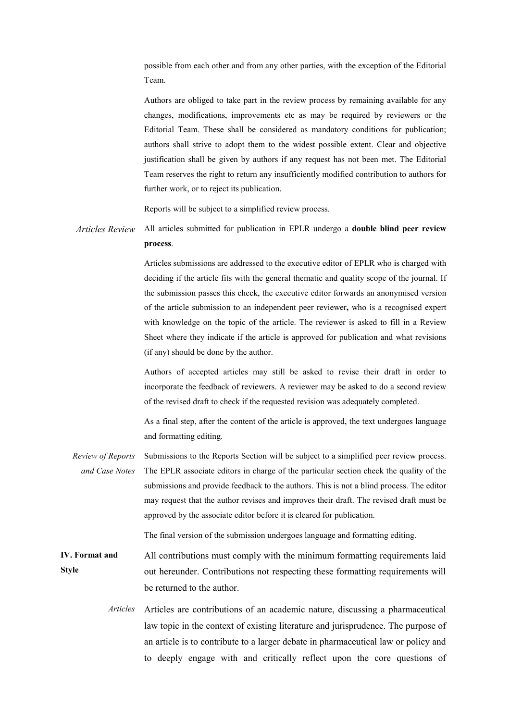possible from each other and from any other parties, with the exception of the Editorial Team.

Authors are obliged to take part in the review process by remaining available for any changes, modifications, improvements etc as may be required by reviewers or the Editorial Team. These shall be considered as mandatory conditions for publication; authors shall strive to adopt them to the widest possible extent. Clear and objective justification shall be given by authors if any request has not been met. The Editorial Team reserves the right to return any insufficiently modified contribution to authors for further work, or to reject its publication.

Reports will be subject to a simplified review process.

*Articles Review* All articles submitted for publication in EPLR undergo a **double blind peer review process**.

> Articles submissions are addressed to the executive editor of EPLR who is charged with deciding if the article fits with the general thematic and quality scope of the journal. If the submission passes this check, the executive editor forwards an anonymised version of the article submission to an independent peer reviewer**,** who is a recognised expert with knowledge on the topic of the article. The reviewer is asked to fill in a Review Sheet where they indicate if the article is approved for publication and what revisions (if any) should be done by the author.

> Authors of accepted articles may still be asked to revise their draft in order to incorporate the feedback of reviewers. A reviewer may be asked to do a second review of the revised draft to check if the requested revision was adequately completed.

> As a final step, after the content of the article is approved, the text undergoes language and formatting editing.

*Review of Reports and Case Notes*  Submissions to the Reports Section will be subject to a simplified peer review process. The EPLR associate editors in charge of the particular section check the quality of the submissions and provide feedback to the authors. This is not a blind process. The editor may request that the author revises and improves their draft. The revised draft must be approved by the associate editor before it is cleared for publication.

The final version of the submission undergoes language and formatting editing.

- **IV. Format and Style** All contributions must comply with the minimum formatting requirements laid out hereunder. Contributions not respecting these formatting requirements will be returned to the author.
	- *Articles* Articles are contributions of an academic nature, discussing a pharmaceutical law topic in the context of existing literature and jurisprudence. The purpose of an article is to contribute to a larger debate in pharmaceutical law or policy and to deeply engage with and critically reflect upon the core questions of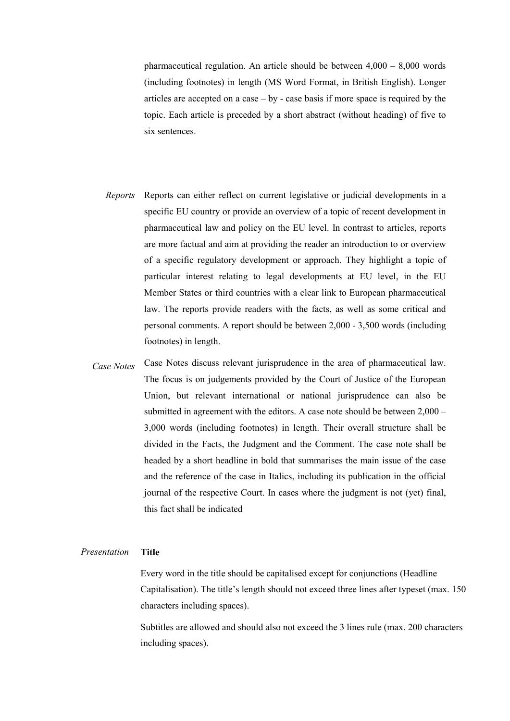pharmaceutical regulation. An article should be between  $4,000 - 8,000$  words (including footnotes) in length (MS Word Format, in British English). Longer articles are accepted on a case – by - case basis if more space is required by the topic. Each article is preceded by a short abstract (without heading) of five to six sentences.

- *Reports* Reports can either reflect on current legislative or judicial developments in a specific EU country or provide an overview of a topic of recent development in pharmaceutical law and policy on the EU level. In contrast to articles, reports are more factual and aim at providing the reader an introduction to or overview of a specific regulatory development or approach. They highlight a topic of particular interest relating to legal developments at EU level, in the EU Member States or third countries with a clear link to European pharmaceutical law. The reports provide readers with the facts, as well as some critical and personal comments. A report should be between 2,000 - 3,500 words (including footnotes) in length.
- *Case Notes*  Case Notes discuss relevant jurisprudence in the area of pharmaceutical law. The focus is on judgements provided by the Court of Justice of the European Union, but relevant international or national jurisprudence can also be submitted in agreement with the editors. A case note should be between 2,000 – 3,000 words (including footnotes) in length. Their overall structure shall be divided in the Facts, the Judgment and the Comment. The case note shall be headed by a short headline in bold that summarises the main issue of the case and the reference of the case in Italics, including its publication in the official journal of the respective Court. In cases where the judgment is not (yet) final, this fact shall be indicated

#### *Presentation* **Title**

Every word in the title should be capitalised except for conjunctions (Headline Capitalisation). The title's length should not exceed three lines after typeset (max. 150 characters including spaces).

Subtitles are allowed and should also not exceed the 3 lines rule (max. 200 characters including spaces).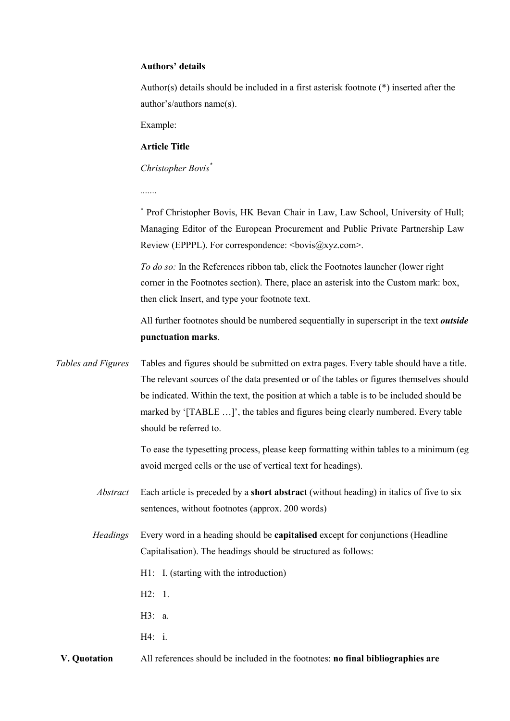#### **Authors' details**

Author(s) details should be included in a first asterisk footnote (\*) inserted after the author's/authors name(s).

Example:

#### **Article Title**

#### *Christopher Bovis\**

*.......*

<sup>∗</sup> Prof Christopher Bovis, HK Bevan Chair in Law, Law School, University of Hull; Managing Editor of the European Procurement and Public Private Partnership Law Review (EPPPL). For correspondence:  $\langle \text{bovis}(\hat{\omega} \rangle x \rangle z \rangle$ .com>.

*To do so:* In the References ribbon tab, click the Footnotes launcher (lower right corner in the Footnotes section). There, place an asterisk into the Custom mark: box, then click Insert, and type your footnote text.

All further footnotes should be numbered sequentially in superscript in the text *outside* **punctuation marks**.

*Tables and Figures* Tables and figures should be submitted on extra pages. Every table should have a title. The relevant sources of the data presented or of the tables or figures themselves should be indicated. Within the text, the position at which a table is to be included should be marked by '[TABLE …]', the tables and figures being clearly numbered. Every table should be referred to.

> To ease the typesetting process, please keep formatting within tables to a minimum (eg avoid merged cells or the use of vertical text for headings).

- *Abstract* Each article is preceded by a **short abstract** (without heading) in italics of five to six sentences, without footnotes (approx. 200 words)
- *Headings* Every word in a heading should be **capitalised** except for conjunctions (Headline Capitalisation). The headings should be structured as follows:
	- H1: I. (starting with the introduction)
	- H2: 1.
	- H3: a.
	- H4: i.
- **V. Quotation** All references should be included in the footnotes: **no final bibliographies are**